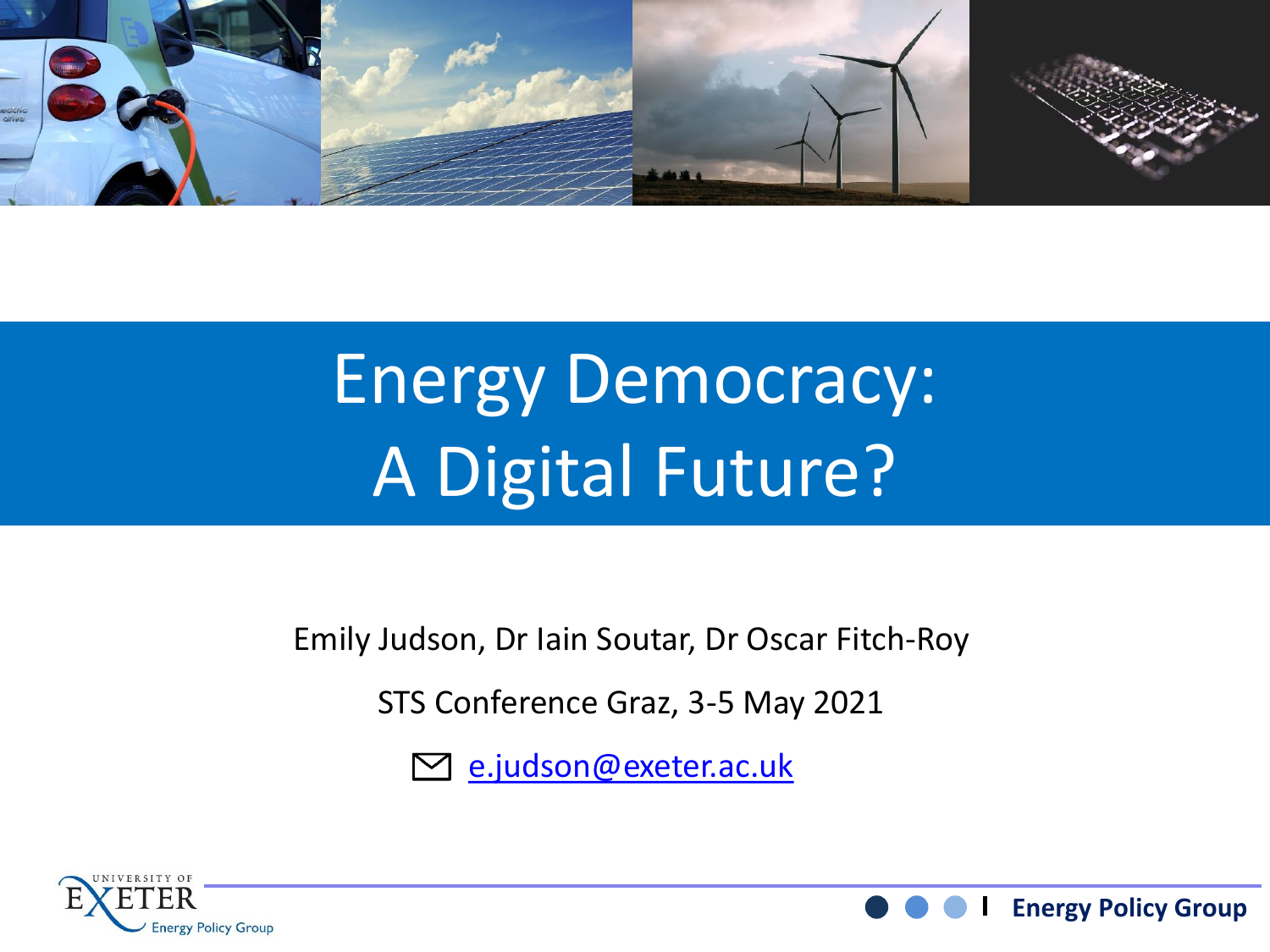

# Energy Democracy: A Digital Future?

Emily Judson, Dr Iain Soutar, Dr Oscar Fitch-Roy

STS Conference Graz, 3-5 May 2021

[e.judson@exeter.ac.uk](mailto:e.judson@exeter.ac.uk)



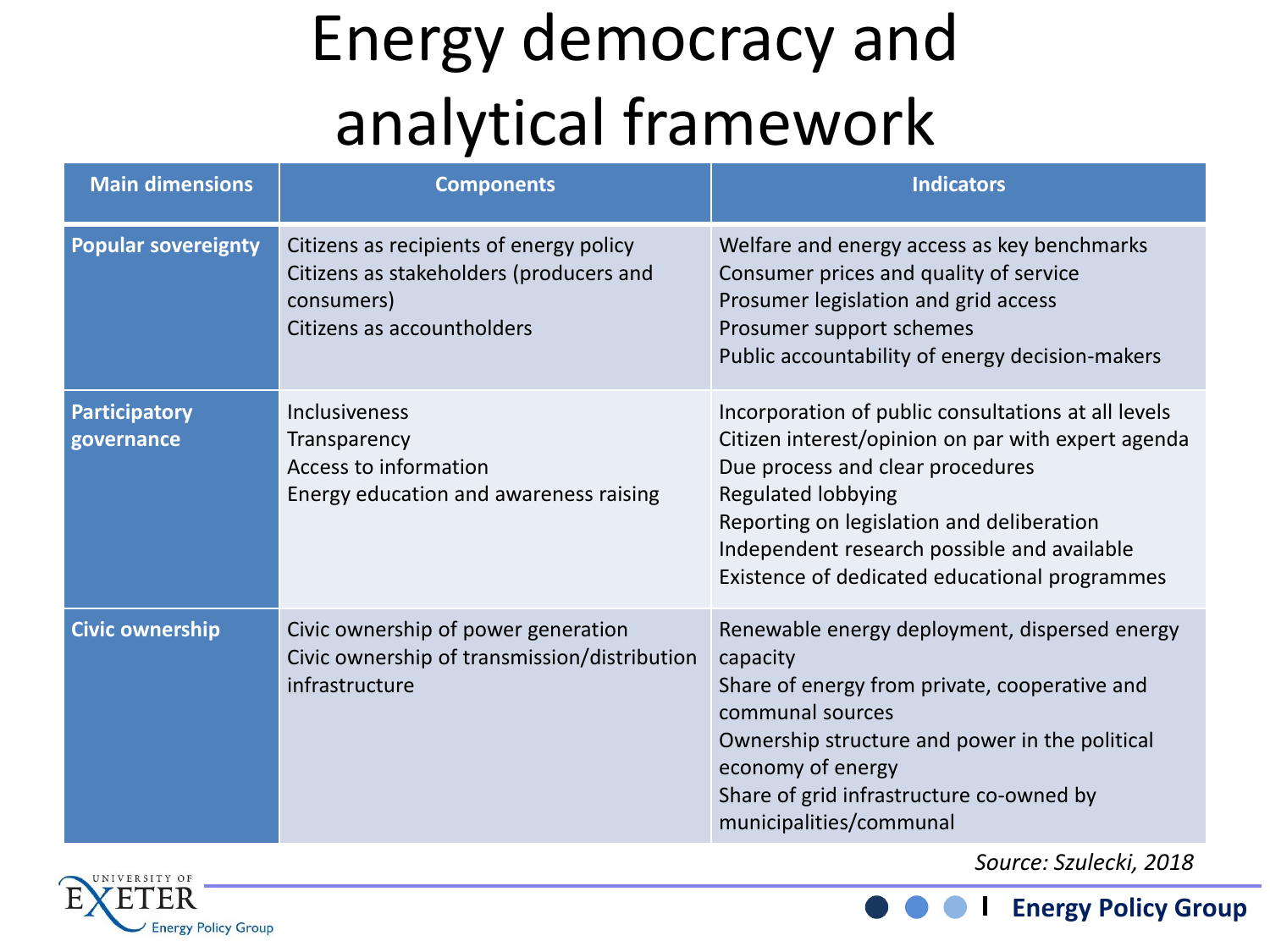## Energy democracy and analytical framework

| <b>Main dimensions</b>             | <b>Components</b>                                                                                                              | <b>Indicators</b>                                                                                                                                                                                                                                                                                                       |
|------------------------------------|--------------------------------------------------------------------------------------------------------------------------------|-------------------------------------------------------------------------------------------------------------------------------------------------------------------------------------------------------------------------------------------------------------------------------------------------------------------------|
| <b>Popular sovereignty</b>         | Citizens as recipients of energy policy<br>Citizens as stakeholders (producers and<br>consumers)<br>Citizens as accountholders | Welfare and energy access as key benchmarks<br>Consumer prices and quality of service<br>Prosumer legislation and grid access<br>Prosumer support schemes<br>Public accountability of energy decision-makers                                                                                                            |
| <b>Participatory</b><br>governance | <b>Inclusiveness</b><br>Transparency<br>Access to information<br>Energy education and awareness raising                        | Incorporation of public consultations at all levels<br>Citizen interest/opinion on par with expert agenda<br>Due process and clear procedures<br><b>Regulated lobbying</b><br>Reporting on legislation and deliberation<br>Independent research possible and available<br>Existence of dedicated educational programmes |
| <b>Civic ownership</b>             | Civic ownership of power generation<br>Civic ownership of transmission/distribution<br>infrastructure                          | Renewable energy deployment, dispersed energy<br>capacity<br>Share of energy from private, cooperative and<br>communal sources<br>Ownership structure and power in the political<br>economy of energy<br>Share of grid infrastructure co-owned by<br>municipalities/communal                                            |



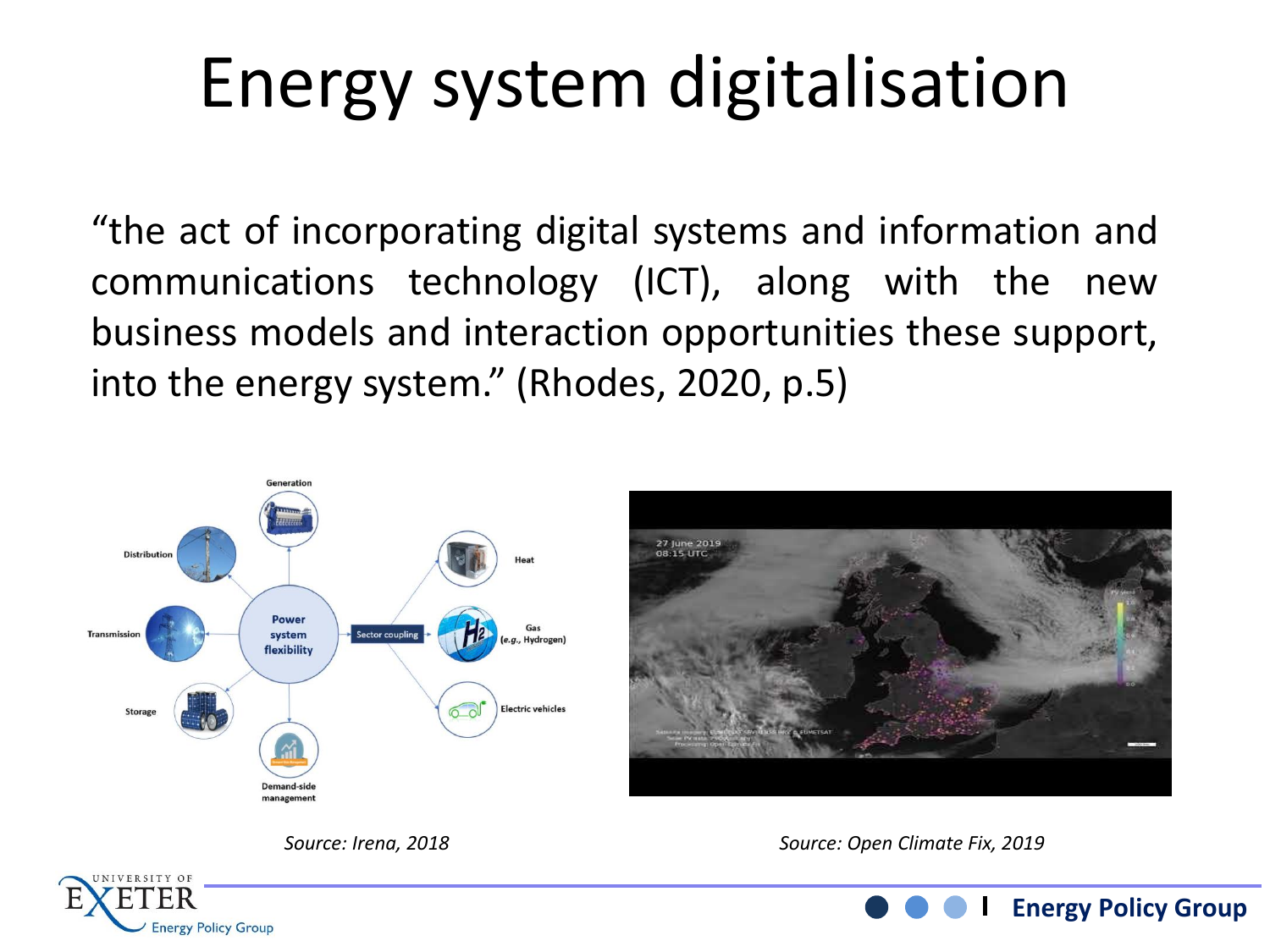# Energy system digitalisation

"the act of incorporating digital systems and information and communications technology (ICT), along with the new business models and interaction opportunities these support, into the energy system." (Rhodes, 2020, p.5)





**Energy Policy Group**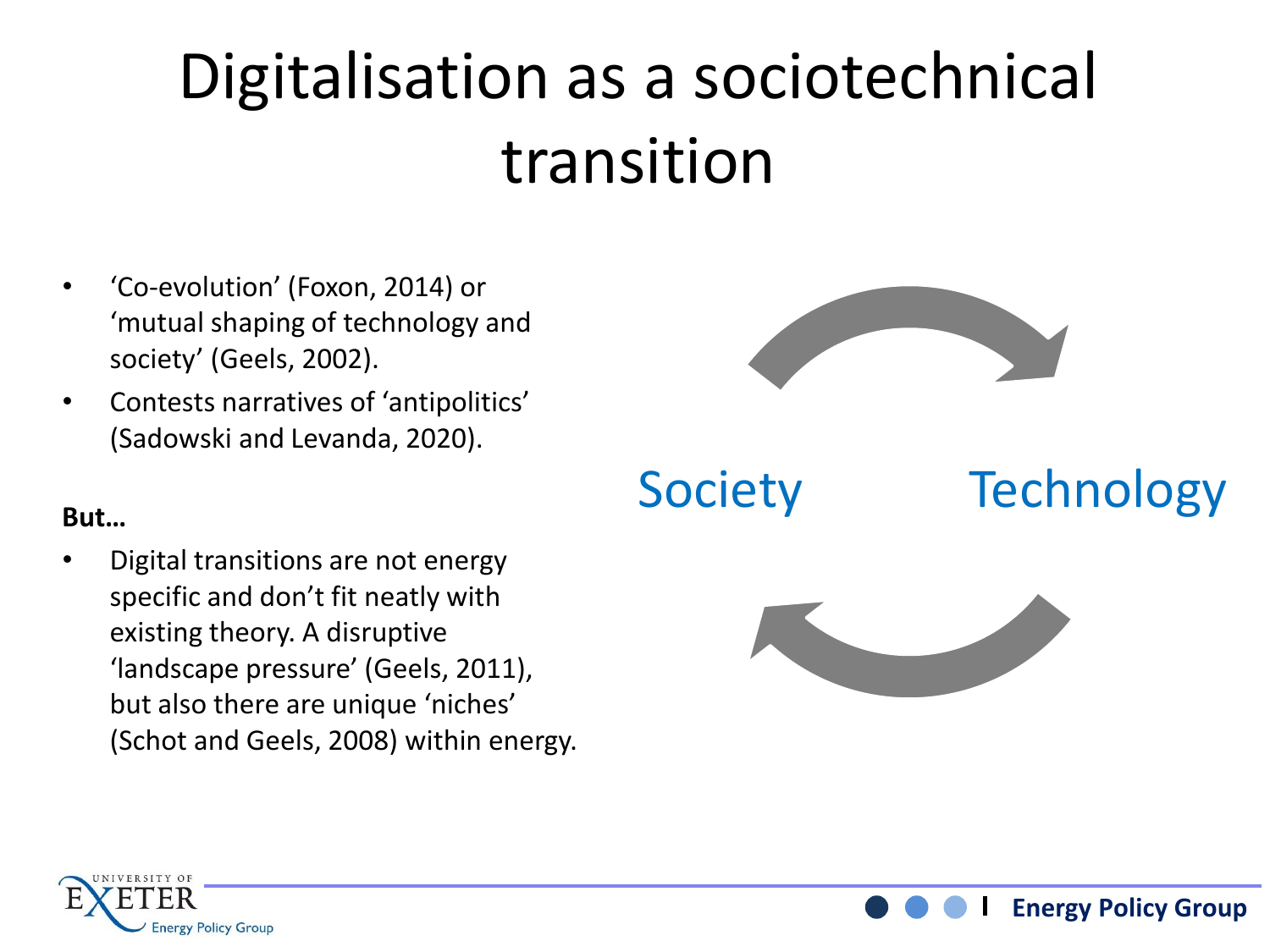## Digitalisation as a sociotechnical transition

- 'Co-evolution' (Foxon, 2014) or 'mutual shaping of technology and society' (Geels, 2002).
- Contests narratives of 'antipolitics' (Sadowski and Levanda, 2020).

### **But…**

• Digital transitions are not energy specific and don't fit neatly with existing theory. A disruptive 'landscape pressure' (Geels, 2011), but also there are unique 'niches' (Schot and Geels, 2008) within energy.



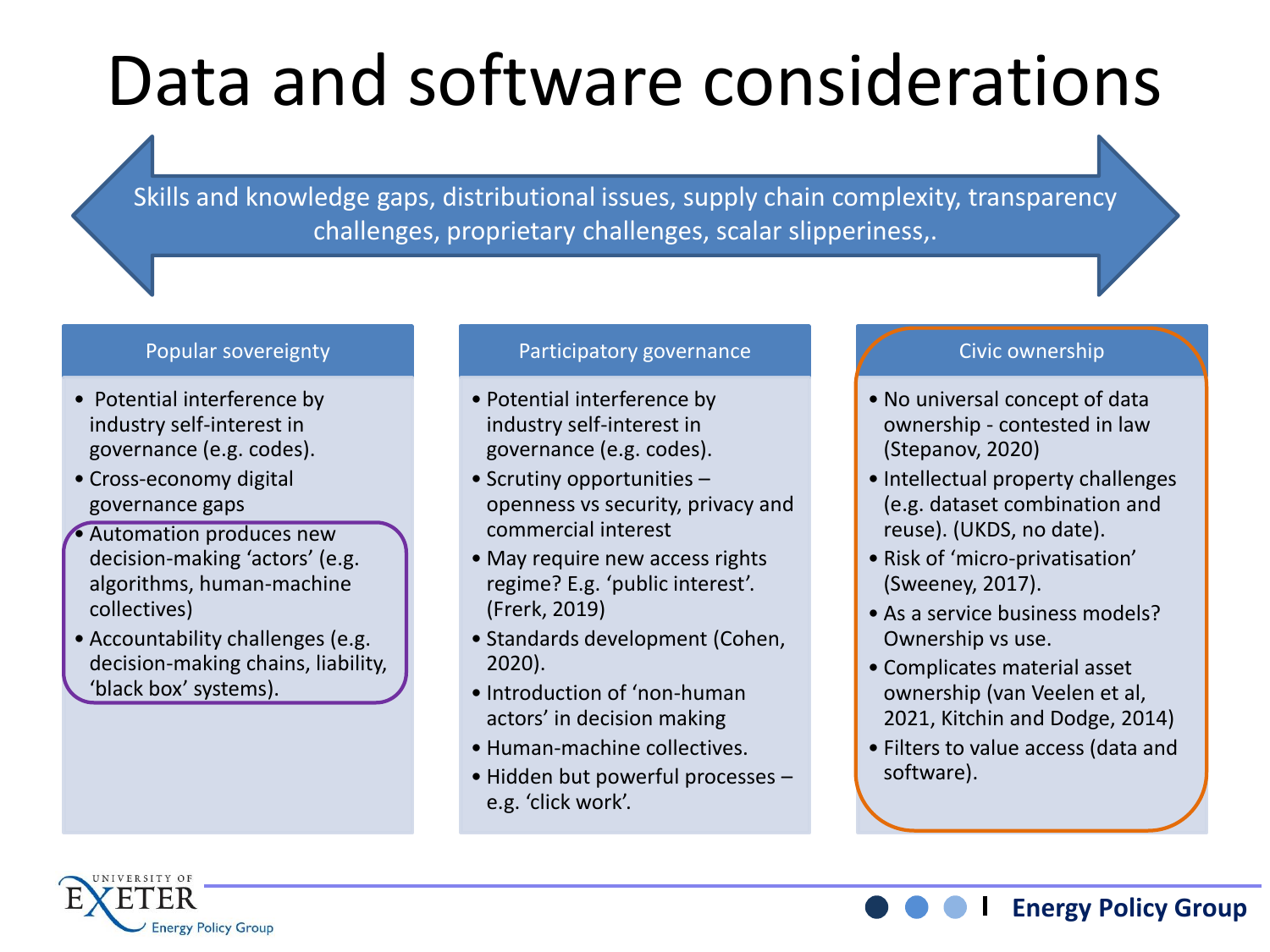# Data and software considerations

Skills and knowledge gaps, distributional issues, supply chain complexity, transparency challenges, proprietary challenges, scalar slipperiness,.

#### Popular sovereignty

- Potential interference by industry self-interest in governance (e.g. codes).
- Cross-economy digital governance gaps
- Automation produces new decision-making 'actors' (e.g. algorithms, human-machine collectives)
- Accountability challenges (e.g. decision-making chains, liability, 'black box' systems).

#### Participatory governance

- Potential interference by industry self-interest in governance (e.g. codes).
- Scrutiny opportunities openness vs security, privacy and commercial interest
- May require new access rights regime? E.g. 'public interest'. (Frerk, 2019)
- Standards development (Cohen, 2020).
- Introduction of 'non-human actors' in decision making
- Human-machine collectives.
- Hidden but powerful processes e.g. 'click work'.

#### Civic ownership

- No universal concept of data ownership - contested in law (Stepanov, 2020)
- Intellectual property challenges (e.g. dataset combination and reuse). (UKDS, no date).
- Risk of 'micro-privatisation' (Sweeney, 2017).
- As a service business models? Ownership vs use.
- Complicates material asset ownership (van Veelen et al, 2021, Kitchin and Dodge, 2014)
- Filters to value access (data and software).

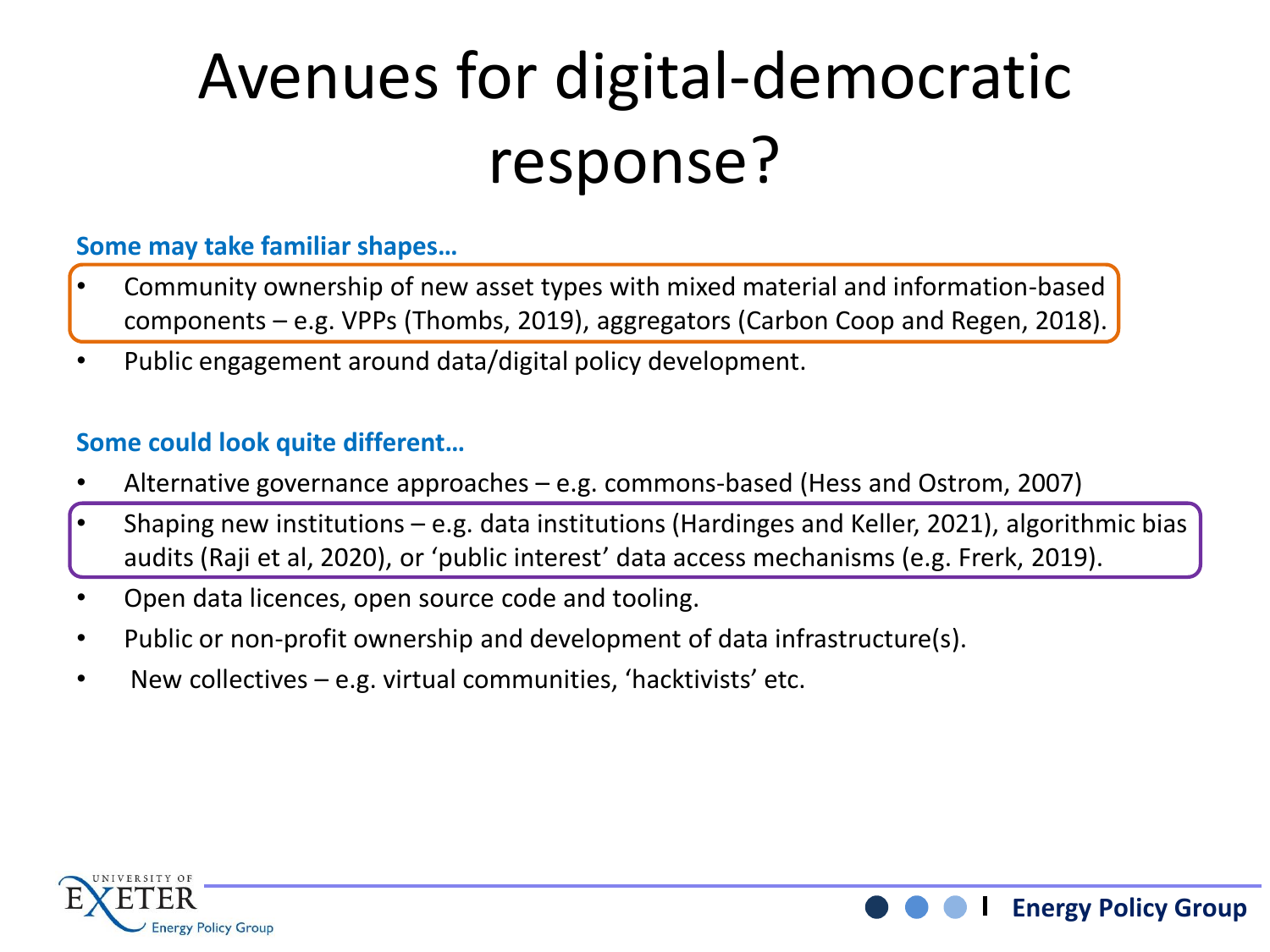## Avenues for digital-democratic response?

### **Some may take familiar shapes…**

- Community ownership of new asset types with mixed material and information-based components – e.g. VPPs (Thombs, 2019), aggregators (Carbon Coop and Regen, 2018).
- Public engagement around data/digital policy development.

### **Some could look quite different…**

- Alternative governance approaches e.g. commons-based (Hess and Ostrom, 2007)
- Shaping new institutions e.g. data institutions (Hardinges and Keller, 2021), algorithmic bias audits (Raji et al, 2020), or 'public interest' data access mechanisms (e.g. Frerk, 2019).
- Open data licences, open source code and tooling.
- Public or non-profit ownership and development of data infrastructure(s).
- New collectives e.g. virtual communities, 'hacktivists' etc.



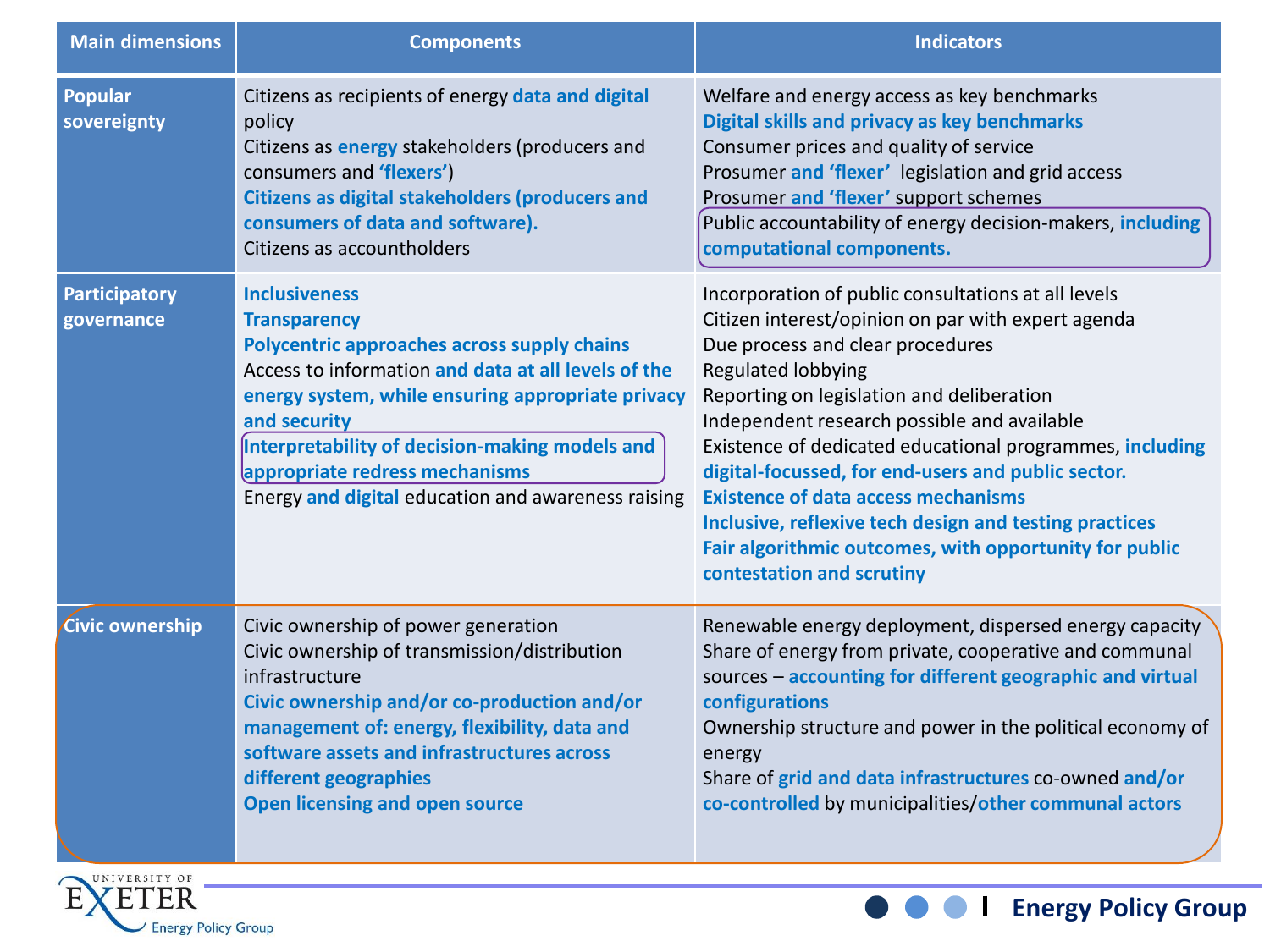| <b>Main dimensions</b>             | <b>Components</b>                                                                                                                                                                                                                                                                                                                                                | <b>Indicators</b>                                                                                                                                                                                                                                                                                                                                                                                                                                                                                                                                                                |
|------------------------------------|------------------------------------------------------------------------------------------------------------------------------------------------------------------------------------------------------------------------------------------------------------------------------------------------------------------------------------------------------------------|----------------------------------------------------------------------------------------------------------------------------------------------------------------------------------------------------------------------------------------------------------------------------------------------------------------------------------------------------------------------------------------------------------------------------------------------------------------------------------------------------------------------------------------------------------------------------------|
| <b>Popular</b><br>sovereignty      | Citizens as recipients of energy data and digital<br>policy<br>Citizens as energy stakeholders (producers and<br>consumers and 'flexers')<br><b>Citizens as digital stakeholders (producers and</b><br>consumers of data and software).<br>Citizens as accountholders                                                                                            | Welfare and energy access as key benchmarks<br>Digital skills and privacy as key benchmarks<br>Consumer prices and quality of service<br>Prosumer and 'flexer' legislation and grid access<br>Prosumer and 'flexer' support schemes<br>Public accountability of energy decision-makers, including<br>computational components.                                                                                                                                                                                                                                                   |
| <b>Participatory</b><br>governance | <b>Inclusiveness</b><br><b>Transparency</b><br>Polycentric approaches across supply chains<br>Access to information and data at all levels of the<br>energy system, while ensuring appropriate privacy<br>and security<br>Interpretability of decision-making models and<br>appropriate redress mechanisms<br>Energy and digital education and awareness raising | Incorporation of public consultations at all levels<br>Citizen interest/opinion on par with expert agenda<br>Due process and clear procedures<br>Regulated lobbying<br>Reporting on legislation and deliberation<br>Independent research possible and available<br>Existence of dedicated educational programmes, including<br>digital-focussed, for end-users and public sector.<br><b>Existence of data access mechanisms</b><br>Inclusive, reflexive tech design and testing practices<br>Fair algorithmic outcomes, with opportunity for public<br>contestation and scrutiny |
| Civic ownership                    | Civic ownership of power generation<br>Civic ownership of transmission/distribution<br>infrastructure<br>Civic ownership and/or co-production and/or<br>management of: energy, flexibility, data and<br>software assets and infrastructures across<br>different geographies<br><b>Open licensing and open source</b>                                             | Renewable energy deployment, dispersed energy capacity<br>Share of energy from private, cooperative and communal<br>sources - accounting for different geographic and virtual<br>configurations<br>Ownership structure and power in the political economy of<br>energy<br>Share of grid and data infrastructures co-owned and/or<br>co-controlled by municipalities/other communal actors                                                                                                                                                                                        |



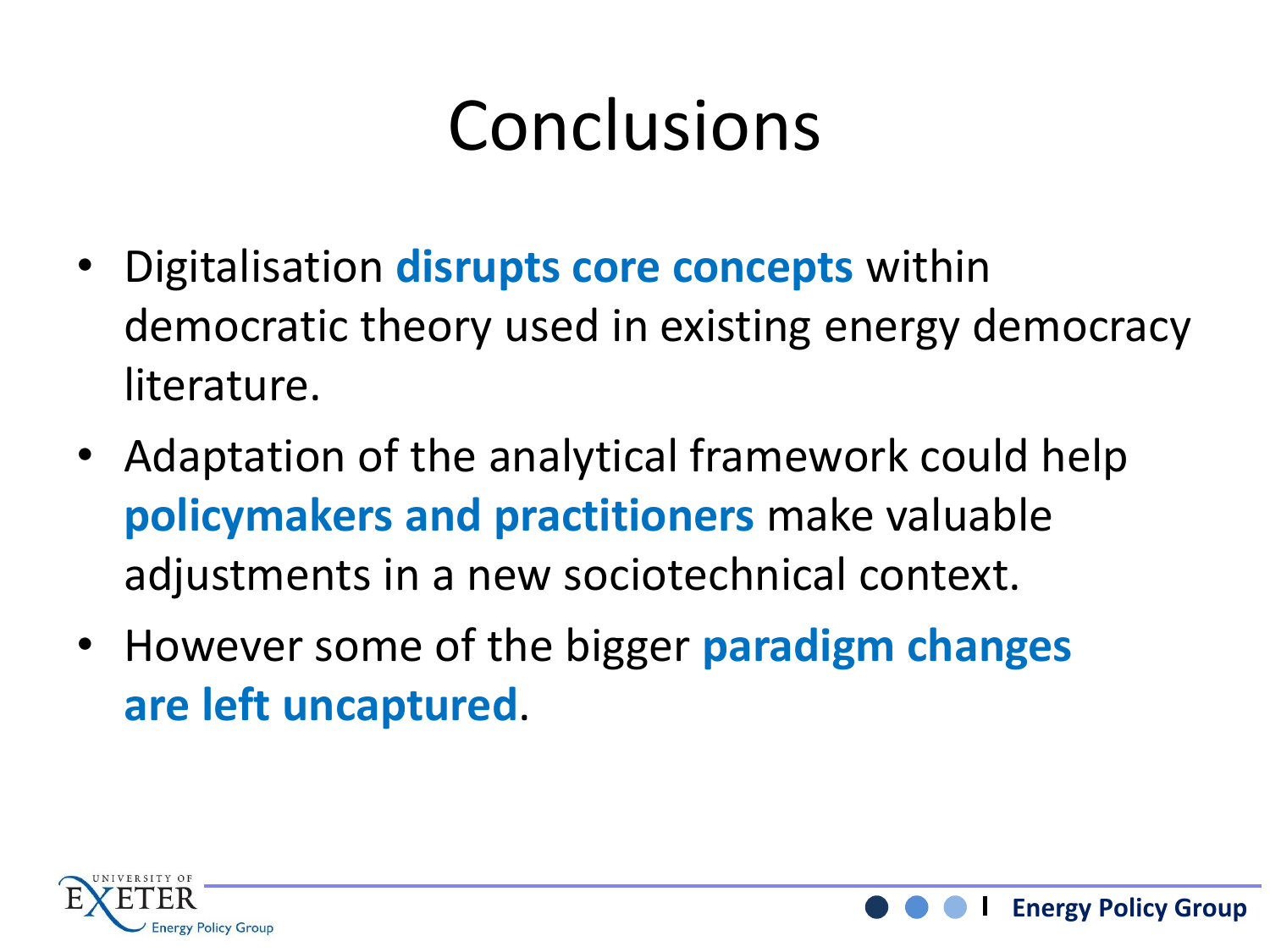# Conclusions

- Digitalisation **disrupts core concepts** within democratic theory used in existing energy democracy literature.
- Adaptation of the analytical framework could help **policymakers and practitioners** make valuable adjustments in a new sociotechnical context.
- However some of the bigger **paradigm changes are left uncaptured**.

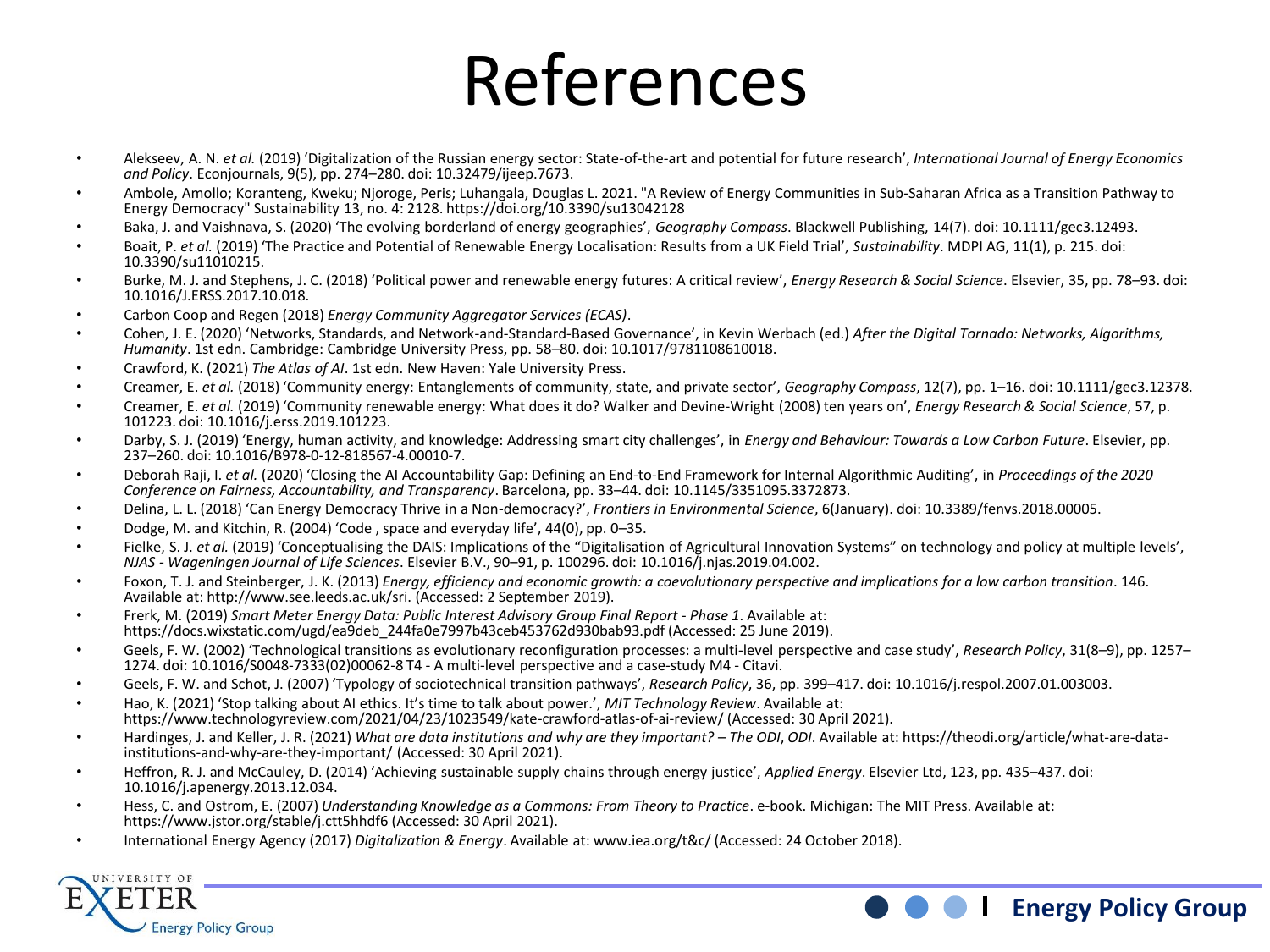### References

- Alekseev, A. N. *et al.* (2019) 'Digitalization of the Russian energy sector: State-of-the-art and potential for future research', *International Journal of Energy Economics and Policy*. Econjournals, 9(5), pp. 274–280. doi: 10.32479/ijeep.7673.
- Ambole, Amollo; Koranteng, Kweku; Njoroge, Peris; Luhangala, Douglas L. 2021. "A Review of Energy Communities in Sub-Saharan Africa as a Transition Pathway to Energy Democracy" Sustainability 13, no. 4: 2128. https://doi.org/10.3390/su13042128
- Baka, J. and Vaishnava, S. (2020) 'The evolving borderland of energy geographies', *Geography Compass*. Blackwell Publishing, 14(7). doi: 10.1111/gec3.12493.
- Boait, P. *et al.* (2019) 'The Practice and Potential of Renewable Energy Localisation: Results from a UK Field Trial', *Sustainability*. MDPI AG, 11(1), p. 215. doi: 10.3390/su11010215.
- Burke, M. J. and Stephens, J. C. (2018) 'Political power and renewable energy futures: A critical review', *Energy Research & Social Science*. Elsevier, 35, pp. 78–93. doi: 10.1016/J.ERSS.2017.10.018.
- Carbon Coop and Regen (2018) *Energy Community Aggregator Services (ECAS)*.
- Cohen, J. E. (2020) 'Networks, Standards, and Network-and-Standard-Based Governance', in Kevin Werbach (ed.) *After the Digital Tornado: Networks, Algorithms, Humanity*. 1st edn. Cambridge: Cambridge University Press, pp. 58–80. doi: 10.1017/9781108610018.
- Crawford, K. (2021) *The Atlas of AI*. 1st edn. New Haven: Yale University Press.
- Creamer, E. *et al.* (2018) 'Community energy: Entanglements of community, state, and private sector', *Geography Compass*, 12(7), pp. 1–16. doi: 10.1111/gec3.12378.
- Creamer, E. *et al.* (2019) 'Community renewable energy: What does it do? Walker and Devine-Wright (2008) ten years on', *Energy Research & Social Science*, 57, p. 101223. doi: 10.1016/j.erss.2019.101223.
- Darby, S. J. (2019) 'Energy, human activity, and knowledge: Addressing smart city challenges', in *Energy and Behaviour: Towards a Low Carbon Future*. Elsevier, pp. 237–260. doi: 10.1016/B978-0-12-818567-4.00010-7.
- Deborah Raji, I. *et al.* (2020) 'Closing the AI Accountability Gap: Defining an End-to-End Framework for Internal Algorithmic Auditing', in *Proceedings of the 2020 Conference on Fairness, Accountability, and Transparency*. Barcelona, pp. 33–44. doi: 10.1145/3351095.3372873.
- Delina, L. L. (2018) 'Can Energy Democracy Thrive in a Non-democracy?', *Frontiers in Environmental Science*, 6(January). doi: 10.3389/fenvs.2018.00005.
- Dodge, M. and Kitchin, R. (2004) 'Code , space and everyday life', 44(0), pp. 0–35.
- Fielke, S. J. *et al.* (2019) 'Conceptualising the DAIS: Implications of the "Digitalisation of Agricultural Innovation Systems" on technology and policy at multiple levels', *NJAS - Wageningen Journal of Life Sciences*. Elsevier B.V., 90–91, p. 100296. doi: 10.1016/j.njas.2019.04.002.
- Foxon, T. J. and Steinberger, J. K. (2013) *Energy, efficiency and economic growth: a coevolutionary perspective and implications for a low carbon transition*. 146. Available at: http://www.see.leeds.ac.uk/sri. (Accessed: 2 September 2019).
- Frerk, M. (2019) *Smart Meter Energy Data: Public Interest Advisory Group Final Report - Phase 1*. Available at: https://docs.wixstatic.com/ugd/ea9deb\_244fa0e7997b43ceb453762d930bab93.pdf (Accessed: 25 June 2019).
- Geels, F. W. (2002) 'Technological transitions as evolutionary reconfiguration processes: a multi-level perspective and case study', *Research Policy*, 31(8–9), pp. 1257– 1274. doi: 10.1016/S0048-7333(02)00062-8 T4 - A multi-level perspective and a case-study M4 - Citavi.
- Geels, F. W. and Schot, J. (2007) 'Typology of sociotechnical transition pathways', *Research Policy*, 36, pp. 399–417. doi: 10.1016/j.respol.2007.01.003003.
- Hao, K. (2021) 'Stop talking about AI ethics. It's time to talk about power.', *MIT Technology Review*. Available at: https://www.technologyreview.com/2021/04/23/1023549/kate-crawford-atlas-of-ai-review/ (Accessed: 30 April 2021).
- Hardinges, J. and Keller, J. R. (2021) *What are data institutions and why are they important? – The ODI*, *ODI*. Available at: https://theodi.org/article/what-are-datainstitutions-and-why-are-they-important/ (Accessed: 30 April 2021).
- Heffron, R. J. and McCauley, D. (2014) 'Achieving sustainable supply chains through energy justice', *Applied Energy*. Elsevier Ltd, 123, pp. 435–437. doi: 10.1016/j.apenergy.2013.12.034.
- Hess, C. and Ostrom, E. (2007) *Understanding Knowledge as a Commons: From Theory to Practice*. e-book. Michigan: The MIT Press. Available at: https://www.jstor.org/stable/j.ctt5hhdf6 (Accessed: 30 April 2021).
- International Energy Agency (2017) *Digitalization & Energy*. Available at: www.iea.org/t&c/ (Accessed: 24 October 2018).



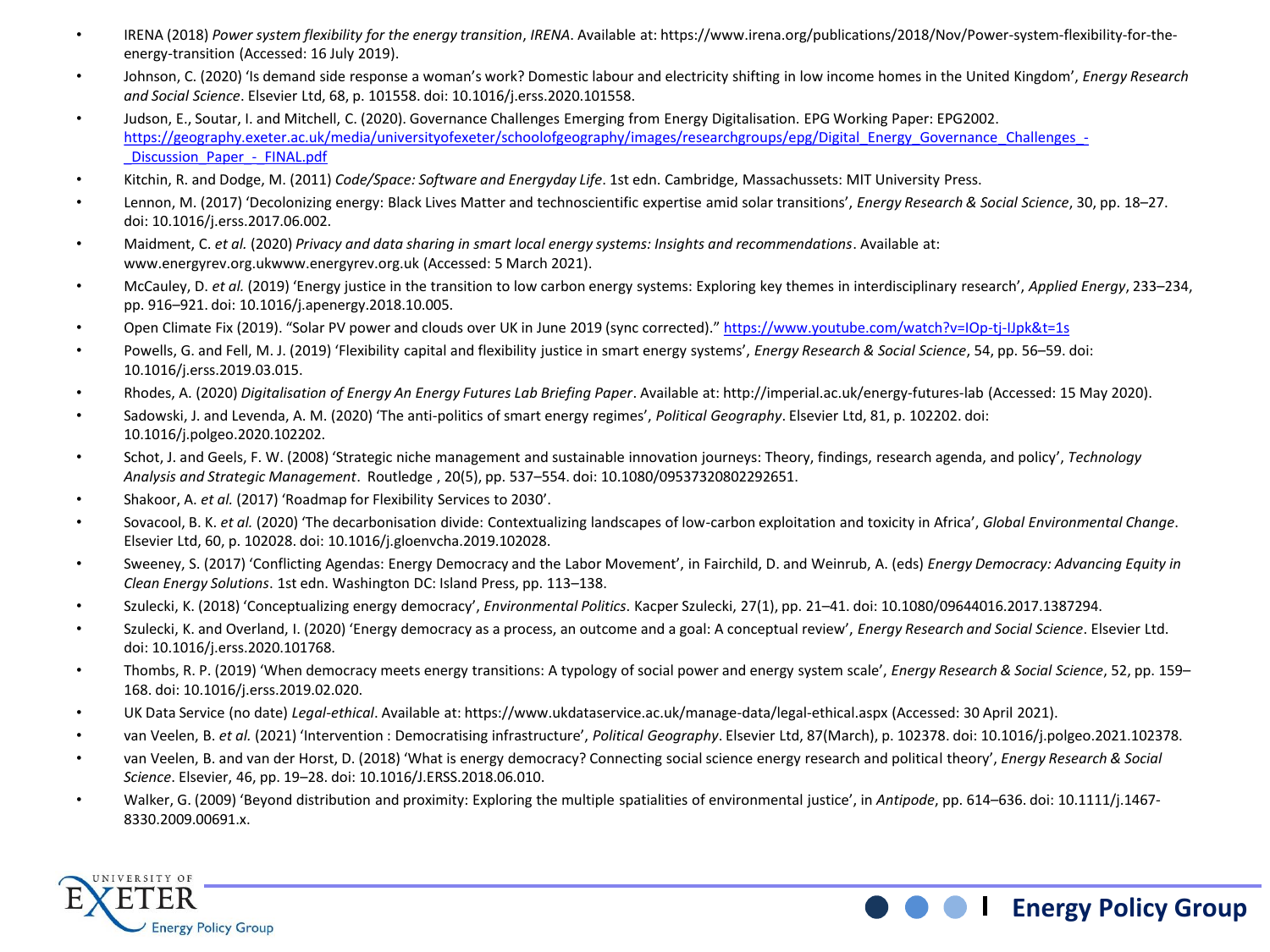- IRENA (2018) *Power system flexibility for the energy transition*, *IRENA*. Available at: https://www.irena.org/publications/2018/Nov/Power-system-flexibility-for-theenergy-transition (Accessed: 16 July 2019).
- Johnson, C. (2020) 'Is demand side response a woman's work? Domestic labour and electricity shifting in low income homes in the United Kingdom', *Energy Research and Social Science*. Elsevier Ltd, 68, p. 101558. doi: 10.1016/j.erss.2020.101558.
- Judson, E., Soutar, I. and Mitchell, C. (2020). Governance Challenges Emerging from Energy Digitalisation. EPG Working Paper: EPG2002. https://geography.exeter.ac.uk/media/universityofexeter/schoolofgeography/images/researchgroups/epg/Digital Energy Governance Challenges -Discussion Paper - FINAL.pdf
- Kitchin, R. and Dodge, M. (2011) *Code/Space: Software and Energyday Life*. 1st edn. Cambridge, Massachussets: MIT University Press.
- Lennon, M. (2017) 'Decolonizing energy: Black Lives Matter and technoscientific expertise amid solar transitions', *Energy Research & Social Science*, 30, pp. 18–27. doi: 10.1016/j.erss.2017.06.002.
- Maidment, C. *et al.* (2020) *Privacy and data sharing in smart local energy systems: Insights and recommendations*. Available at: www.energyrev.org.ukwww.energyrev.org.uk (Accessed: 5 March 2021).
- McCauley, D. *et al.* (2019) 'Energy justice in the transition to low carbon energy systems: Exploring key themes in interdisciplinary research', *Applied Energy*, 233–234, pp. 916–921. doi: 10.1016/j.apenergy.2018.10.005.
- Open Climate Fix (2019). "Solar PV power and clouds over UK in June 2019 (sync corrected)." <https://www.youtube.com/watch?v=IOp-tj-IJpk&t=1s>
- Powells, G. and Fell, M. J. (2019) 'Flexibility capital and flexibility justice in smart energy systems', *Energy Research & Social Science*, 54, pp. 56–59. doi: 10.1016/j.erss.2019.03.015.
- Rhodes, A. (2020) *Digitalisation of Energy An Energy Futures Lab Briefing Paper*. Available at: http://imperial.ac.uk/energy-futures-lab (Accessed: 15 May 2020).
- Sadowski, J. and Levenda, A. M. (2020) 'The anti-politics of smart energy regimes', *Political Geography*. Elsevier Ltd, 81, p. 102202. doi: 10.1016/j.polgeo.2020.102202.
- Schot, J. and Geels, F. W. (2008) 'Strategic niche management and sustainable innovation journeys: Theory, findings, research agenda, and policy', *Technology Analysis and Strategic Management*. Routledge , 20(5), pp. 537–554. doi: 10.1080/09537320802292651.
- Shakoor, A. *et al.* (2017) 'Roadmap for Flexibility Services to 2030'.
- Sovacool, B. K. *et al.* (2020) 'The decarbonisation divide: Contextualizing landscapes of low-carbon exploitation and toxicity in Africa', *Global Environmental Change*. Elsevier Ltd, 60, p. 102028. doi: 10.1016/j.gloenvcha.2019.102028.
- Sweeney, S. (2017) 'Conflicting Agendas: Energy Democracy and the Labor Movement', in Fairchild, D. and Weinrub, A. (eds) *Energy Democracy: Advancing Equity in Clean Energy Solutions*. 1st edn. Washington DC: Island Press, pp. 113–138.
- Szulecki, K. (2018) 'Conceptualizing energy democracy', *Environmental Politics*. Kacper Szulecki, 27(1), pp. 21–41. doi: 10.1080/09644016.2017.1387294.
- Szulecki, K. and Overland, I. (2020) 'Energy democracy as a process, an outcome and a goal: A conceptual review', *Energy Research and Social Science*. Elsevier Ltd. doi: 10.1016/j.erss.2020.101768.
- Thombs, R. P. (2019) 'When democracy meets energy transitions: A typology of social power and energy system scale', *Energy Research & Social Science*, 52, pp. 159– 168. doi: 10.1016/j.erss.2019.02.020.
- UK Data Service (no date) *Legal-ethical*. Available at: https://www.ukdataservice.ac.uk/manage-data/legal-ethical.aspx (Accessed: 30 April 2021).
- van Veelen, B. *et al.* (2021) 'Intervention : Democratising infrastructure', *Political Geography*. Elsevier Ltd, 87(March), p. 102378. doi: 10.1016/j.polgeo.2021.102378.
- van Veelen, B. and van der Horst, D. (2018) 'What is energy democracy? Connecting social science energy research and political theory', *Energy Research & Social Science*. Elsevier, 46, pp. 19–28. doi: 10.1016/J.ERSS.2018.06.010.
- Walker, G. (2009) 'Beyond distribution and proximity: Exploring the multiple spatialities of environmental justice', in *Antipode*, pp. 614–636. doi: 10.1111/j.1467- 8330.2009.00691.x.